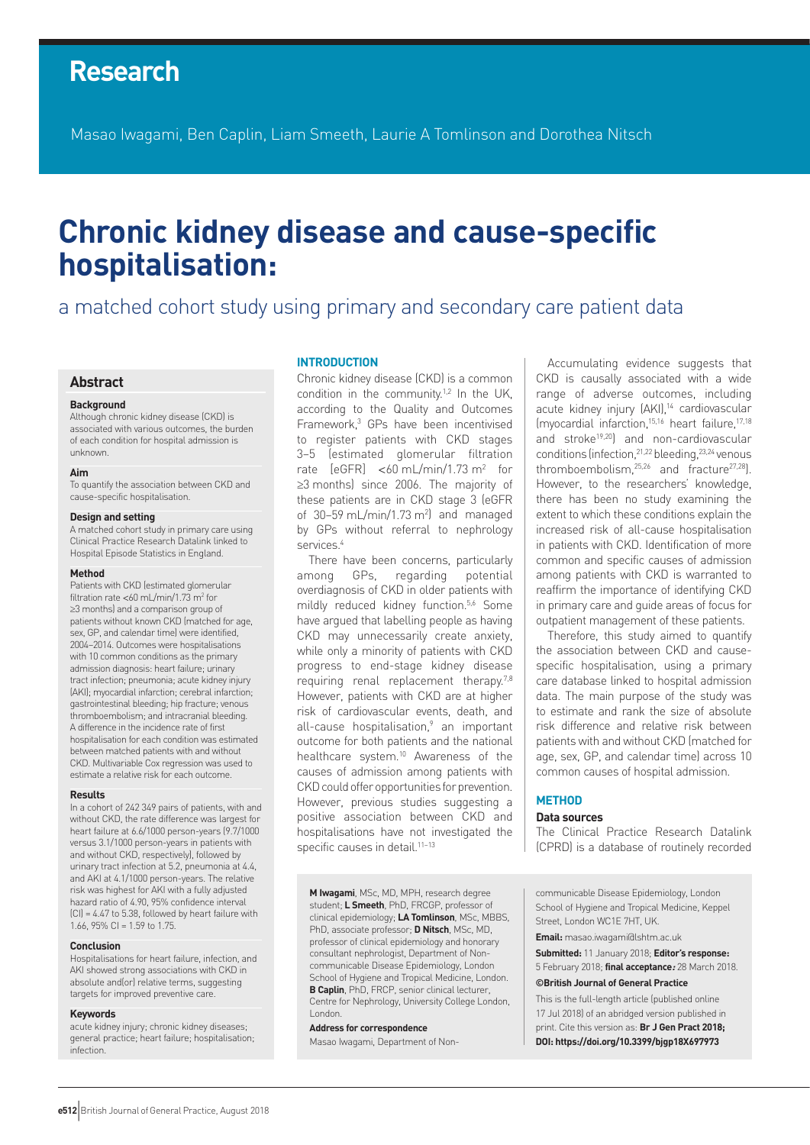# **Research**

Masao Iwagami, Ben Caplin, Liam Smeeth, Laurie A Tomlinson and Dorothea Nitsch

# **Chronic kidney disease and cause-specific hospitalisation:**

# a matched cohort study using primary and secondary care patient data

# **Abstract**

#### **Background**

Although chronic kidney disease (CKD) is associated with various outcomes, the burden of each condition for hospital admission is unknown.

#### **Aim**

To quantify the association between CKD and cause-specific hospitalisation.

#### **Design and setting**

A matched cohort study in primary care using Clinical Practice Research Datalink linked to Hospital Episode Statistics in England.

#### **Method**

Patients with CKD (estimated glomerular filtration rate <60 mL/min/1.73 m<sup>2</sup> for ≥3 months) and a comparison group of patients without known CKD (matched for age, sex, GP, and calendar time) were identified, 2004–2014. Outcomes were hospitalisations with 10 common conditions as the primary admission diagnosis: heart failure; urinary tract infection; pneumonia; acute kidney injury (AKI); myocardial infarction; cerebral infarction; gastrointestinal bleeding; hip fracture; venous thromboembolism; and intracranial bleeding. A difference in the incidence rate of first hospitalisation for each condition was estimated between matched patients with and without CKD. Multivariable Cox regression was used to estimate a relative risk for each outcome.

#### **Results**

In a cohort of 242 349 pairs of patients, with and without CKD, the rate difference was largest for heart failure at 6.6/1000 person-years (9.7/1000 versus 3.1/1000 person-years in patients with and without CKD, respectively), followed by urinary tract infection at 5.2, pneumonia at 4.4, and AKI at 4.1/1000 person-years. The relative risk was highest for AKI with a fully adjusted hazard ratio of 4.90, 95% confidence interval (CI) = 4.47 to 5.38, followed by heart failure with 1.66, 95% CI = 1.59 to 1.75.

#### **Conclusion**

Hospitalisations for heart failure, infection, and AKI showed strong associations with CKD in absolute and(or) relative terms, suggesting targets for improved preventive care.

#### **Keywords**

acute kidney injury; chronic kidney diseases; general practice; heart failure; hospitalisation; infection.

# **INTRODUCTION**

Chronic kidney disease (CKD) is a common condition in the community.<sup>1,2</sup> In the UK, according to the Quality and Outcomes Framework,<sup>3</sup> GPs have been incentivised to register patients with CKD stages 3–5 (estimated glomerular filtration rate  $[eGFR] < 60$  mL/min/1.73 m<sup>2</sup> for ≥3 months) since 2006. The majority of these patients are in CKD stage 3 (eGFR of  $30-59$  mL/min/1.73 m<sup>2</sup>) and managed by GPs without referral to nephrology services.4

There have been concerns, particularly among GPs, regarding potential overdiagnosis of CKD in older patients with mildly reduced kidney function.<sup>5,6</sup> Some have argued that labelling people as having CKD may unnecessarily create anxiety, while only a minority of patients with CKD progress to end-stage kidney disease requiring renal replacement therapy.<sup>7,8</sup> However, patients with CKD are at higher risk of cardiovascular events, death, and all-cause hospitalisation,<sup>9</sup> an important outcome for both patients and the national healthcare system.10 Awareness of the causes of admission among patients with CKD could offer opportunities for prevention. However, previous studies suggesting a positive association between CKD and hospitalisations have not investigated the specific causes in detail.<sup>11-13</sup>

**M Iwagami**, MSc, MD, MPH, research degree student; **L Smeeth**, PhD, FRCGP, professor of clinical epidemiology; **LA Tomlinson**, MSc, MBBS, PhD, associate professor; **D Nitsch**, MSc, MD, professor of clinical epidemiology and honorary consultant nephrologist, Department of Noncommunicable Disease Epidemiology, London School of Hygiene and Tropical Medicine, London. **B Caplin**, PhD, FRCP, senior clinical lecturer, Centre for Nephrology, University College London, London.

#### **Address for correspondence**

Masao Iwagami, Department of Non-

Accumulating evidence suggests that CKD is causally associated with a wide range of adverse outcomes, including acute kidney injury (AKI),<sup>14</sup> cardiovascular (myocardial infarction,15,16 heart failure,17,18 and stroke19,20) and non-cardiovascular conditions (infection,  $21,22$  bleeding,  $23,24$  venous thromboembolism,25,26 and fracture27,28). However, to the researchers' knowledge, there has been no study examining the extent to which these conditions explain the increased risk of all-cause hospitalisation in patients with CKD. Identification of more common and specific causes of admission among patients with CKD is warranted to reaffirm the importance of identifying CKD in primary care and guide areas of focus for outpatient management of these patients.

Therefore, this study aimed to quantify the association between CKD and causespecific hospitalisation, using a primary care database linked to hospital admission data. The main purpose of the study was to estimate and rank the size of absolute risk difference and relative risk between patients with and without CKD (matched for age, sex, GP, and calendar time) across 10 common causes of hospital admission.

# **METHOD**

# **Data sources**

The Clinical Practice Research Datalink (CPRD) is a database of routinely recorded

communicable Disease Epidemiology, London School of Hygiene and Tropical Medicine, Keppel Street, London WC1E 7HT, UK.

**Email:** masao.iwagami@lshtm.ac.uk

**Submitted:** 11 January 2018; **Editor's response:** 5 February 2018; **final acceptance:** 28 March 2018.

#### **©British Journal of General Practice**

This is the full-length article (published online 17 Jul 2018) of an abridged version published in print. Cite this version as: **Br J Gen Pract 2018; DOI: https://doi.org/10.3399/bjgp18X697973**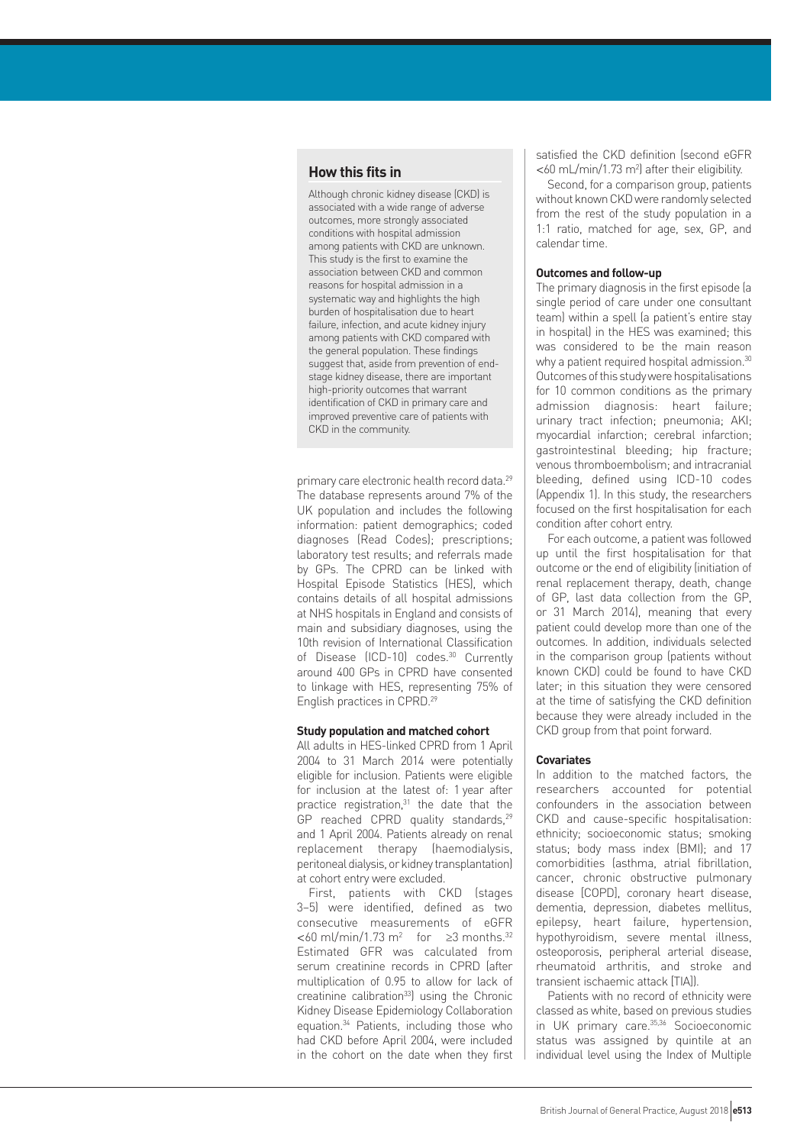# **How this fits in**

Although chronic kidney disease (CKD) is associated with a wide range of adverse outcomes, more strongly associated conditions with hospital admission among patients with CKD are unknown. This study is the first to examine the association between CKD and common reasons for hospital admission in a systematic way and highlights the high burden of hospitalisation due to heart failure, infection, and acute kidney injury among patients with CKD compared with the general population. These findings suggest that, aside from prevention of endstage kidney disease, there are important high-priority outcomes that warrant identification of CKD in primary care and improved preventive care of patients with CKD in the community.

primary care electronic health record data.29 The database represents around 7% of the UK population and includes the following information: patient demographics; coded diagnoses (Read Codes); prescriptions; laboratory test results; and referrals made by GPs. The CPRD can be linked with Hospital Episode Statistics (HES), which contains details of all hospital admissions at NHS hospitals in England and consists of main and subsidiary diagnoses, using the 10th revision of International Classification of Disease (ICD-10) codes.<sup>30</sup> Currently around 400 GPs in CPRD have consented to linkage with HES, representing 75% of English practices in CPRD.29

# **Study population and matched cohort**

All adults in HES-linked CPRD from 1 April 2004 to 31 March 2014 were potentially eligible for inclusion. Patients were eligible for inclusion at the latest of: 1 year after practice registration, $31$  the date that the  $GP$  reached CPRD quality standards, $29$ and 1 April 2004. Patients already on renal replacement therapy (haemodialysis, peritoneal dialysis, or kidney transplantation) at cohort entry were excluded.

First, patients with CKD (stages 3–5) were identified, defined as two consecutive measurements of eGFR  $<$  60 ml/min/1.73 m<sup>2</sup> for  $\geq$ 3 months.<sup>32</sup> Estimated GFR was calculated from serum creatinine records in CPRD (after multiplication of 0.95 to allow for lack of creatinine calibration<sup>33</sup>) using the Chronic Kidney Disease Epidemiology Collaboration equation.34 Patients, including those who had CKD before April 2004, were included in the cohort on the date when they first satisfied the CKD definition (second eGFR  $<$  60 mL/min/1.73 m<sup>2</sup>) after their eligibility.

Second, for a comparison group, patients without known CKD were randomly selected from the rest of the study population in a 1:1 ratio, matched for age, sex, GP, and calendar time.

# **Outcomes and follow-up**

The primary diagnosis in the first episode (a single period of care under one consultant team) within a spell (a patient's entire stay in hospital) in the HES was examined; this was considered to be the main reason why a patient required hospital admission.<sup>30</sup> Outcomes of this study were hospitalisations for 10 common conditions as the primary admission diagnosis: heart failure; urinary tract infection; pneumonia; AKI; myocardial infarction; cerebral infarction; gastrointestinal bleeding; hip fracture; venous thromboembolism; and intracranial bleeding, defined using ICD-10 codes (Appendix 1). In this study, the researchers focused on the first hospitalisation for each condition after cohort entry.

For each outcome, a patient was followed up until the first hospitalisation for that outcome or the end of eligibility (initiation of renal replacement therapy, death, change of GP, last data collection from the GP, or 31 March 2014), meaning that every patient could develop more than one of the outcomes. In addition, individuals selected in the comparison group (patients without known CKD) could be found to have CKD later; in this situation they were censored at the time of satisfying the CKD definition because they were already included in the CKD group from that point forward.

# **Covariates**

In addition to the matched factors, the researchers accounted for potential confounders in the association between CKD and cause-specific hospitalisation: ethnicity; socioeconomic status; smoking status; body mass index (BMI); and 17 comorbidities (asthma, atrial fibrillation, cancer, chronic obstructive pulmonary disease [COPD], coronary heart disease, dementia, depression, diabetes mellitus, epilepsy, heart failure, hypertension, hypothyroidism, severe mental illness, osteoporosis, peripheral arterial disease, rheumatoid arthritis, and stroke and transient ischaemic attack [TIA]).

Patients with no record of ethnicity were classed as white, based on previous studies in UK primary care.35,36 Socioeconomic status was assigned by quintile at an individual level using the Index of Multiple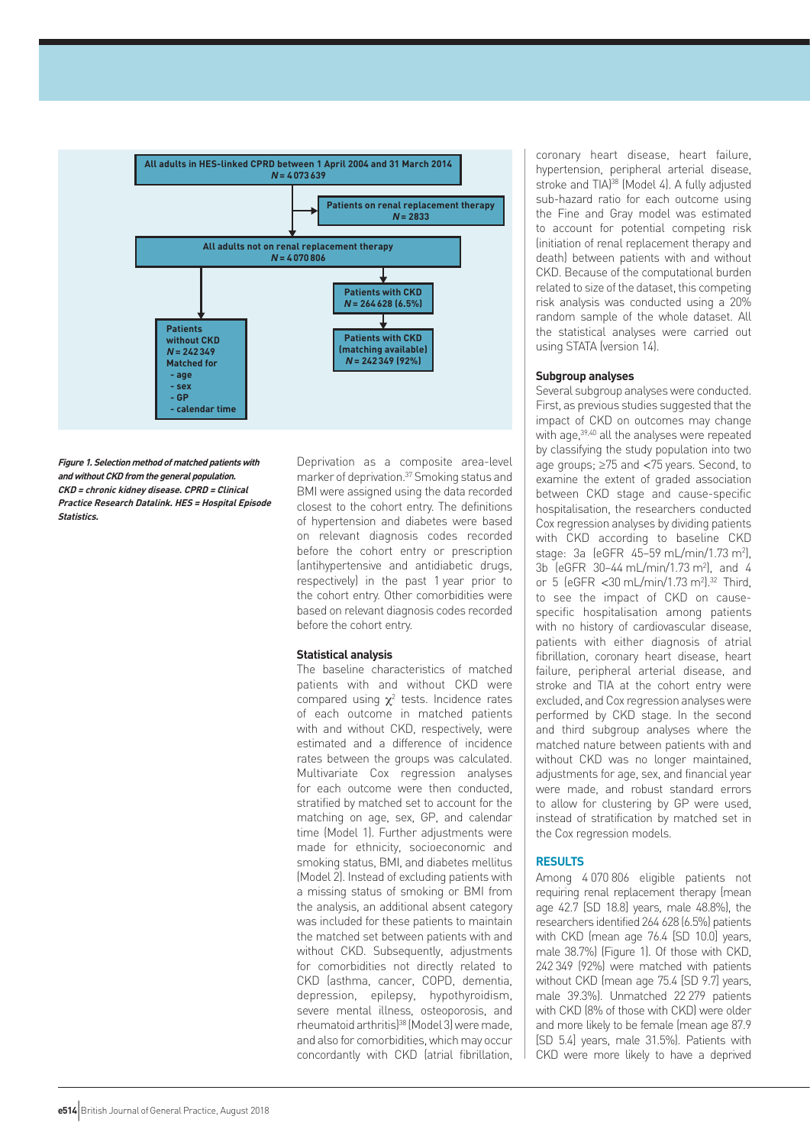

**Figure 1. Selection method of matched patients with and without CKD from the general population. CKD <sup>=</sup> chronic kidney disease. CPRD <sup>=</sup> Clinical Practice Research Datalink. HES <sup>=</sup> Hospital Episode Statistics.**

Deprivation as a composite area-level marker of deprivation.37 Smoking status and BMI were assigned using the data recorded closest to the cohort entry. The definitions of hypertension and diabetes were based on relevant diagnosis codes recorded before the cohort entry or prescription (antihypertensive and antidiabetic drugs, respectively) in the past 1 year prior to the cohort entry. Other comorbidities were based on relevant diagnosis codes recorded before the cohort entry.

# **Statistical analysis**

The baseline characteristics of matched patients with and without CKD were compared using  $\chi^2$  tests. Incidence rates of each outcome in matched patients with and without CKD, respectively, were estimated and a difference of incidence rates between the groups was calculated. Multivariate Cox regression analyses for each outcome were then conducted, stratified by matched set to account for the matching on age, sex, GP, and calendar time (Model 1). Further adjustments were made for ethnicity, socioeconomic and smoking status, BMI, and diabetes mellitus (Model 2). Instead of excluding patients with a missing status of smoking or BMI from the analysis, an additional absent category was included for these patients to maintain the matched set between patients with and without CKD. Subsequently, adjustments for comorbidities not directly related to CKD (asthma, cancer, COPD, dementia, depression, epilepsy, hypothyroidism, severe mental illness, osteoporosis, and rheumatoid arthritis)38 (Model 3) were made, and also for comorbidities, which may occur concordantly with CKD (atrial fibrillation,

coronary heart disease, heart failure, hypertension, peripheral arterial disease, stroke and TIA<sup>38</sup> (Model 4). A fully adjusted sub-hazard ratio for each outcome using the Fine and Gray model was estimated to account for potential competing risk (initiation of renal replacement therapy and death) between patients with and without CKD. Because of the computational burden related to size of the dataset, this competing risk analysis was conducted using a 20% random sample of the whole dataset. All the statistical analyses were carried out using STATA (version 14).

#### **Subgroup analyses**

Several subgroup analyses were conducted. First, as previous studies suggested that the impact of CKD on outcomes may change with age,39,40 all the analyses were repeated by classifying the study population into two age groups; ≥75 and <75 years. Second, to examine the extent of graded association between CKD stage and cause-specific hospitalisation, the researchers conducted Cox regression analyses by dividing patients with CKD according to baseline CKD stage: 3a (eGFR 45-59 mL/min/1.73 m<sup>2</sup>), 3b (eGFR 30–44 mL/min/1.73 m2 ), and 4 or 5 (eGFR <30 mL/min/1.73 m2 ).32 Third, to see the impact of CKD on causespecific hospitalisation among patients with no history of cardiovascular disease, patients with either diagnosis of atrial fibrillation, coronary heart disease, heart failure, peripheral arterial disease, and stroke and TIA at the cohort entry were excluded, and Cox regression analyses were performed by CKD stage. In the second and third subgroup analyses where the matched nature between patients with and without CKD was no longer maintained, adjustments for age, sex, and financial year were made, and robust standard errors to allow for clustering by GP were used, instead of stratification by matched set in the Cox regression models.

# **RESULTS**

Among 4 070 806 eligible patients not requiring renal replacement therapy (mean age 42.7 [SD 18.8] years, male 48.8%), the researchers identified 264 628 (6.5%) patients with CKD (mean age 76.4 [SD 10.0] years, male 38.7%) (Figure 1). Of those with CKD, 242 349 (92%) were matched with patients without CKD (mean age 75.4 [SD 9.7] years. male 39.3%). Unmatched 22 279 patients with CKD (8% of those with CKD) were older and more likely to be female (mean age 87.9 [SD 5.4] years, male 31.5%). Patients with CKD were more likely to have a deprived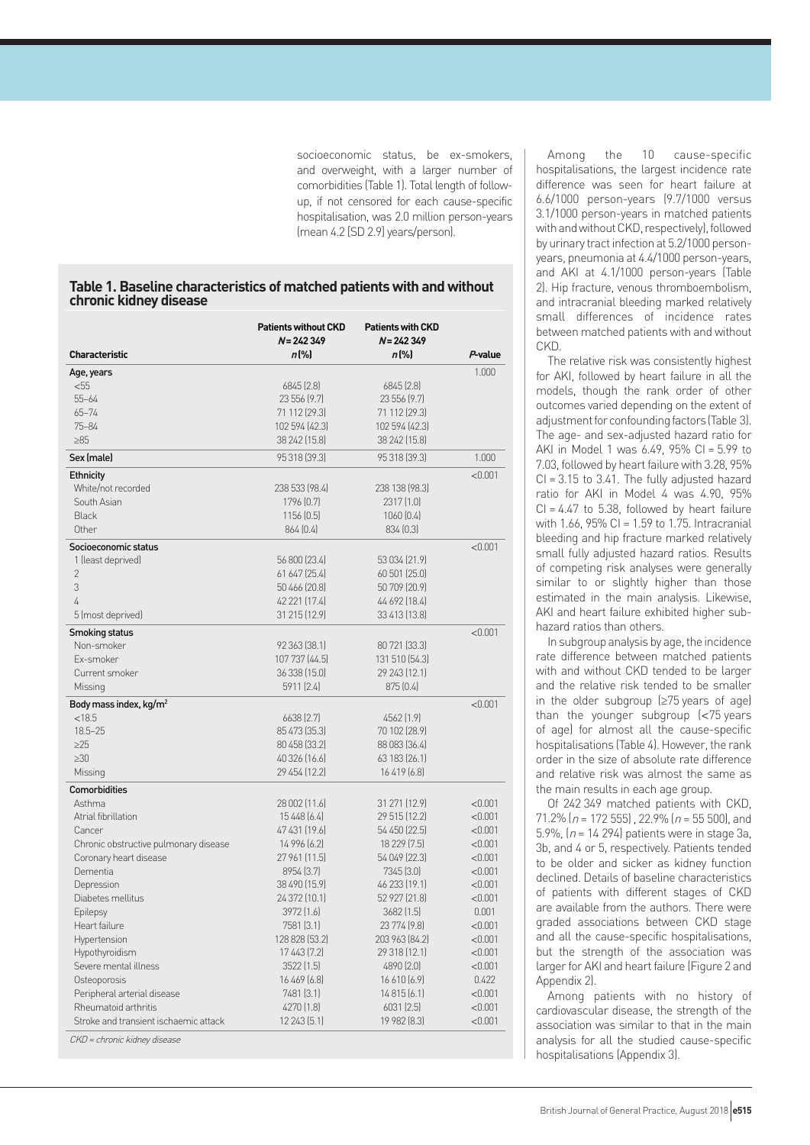socioeconomic status, be ex-smokers, and overweight, with a larger number of comorbidities (Table 1). Total length of followup, if not censored for each cause-specific hospitalisation, was 2.0 million person-years (mean 4.2 [SD 2.9] years/person).

# **Table 1. Baseline characteristics of matched patients with and without chronic kidney disease**

| <b>Characteristic</b>                                                 | <b>Patients without CKD</b><br>$N = 242349$<br>$n$ [%] | <b>Patients with CKD</b><br>$N = 242349$<br>$n$ [%] | P-value |
|-----------------------------------------------------------------------|--------------------------------------------------------|-----------------------------------------------------|---------|
|                                                                       |                                                        |                                                     |         |
| Age, years<br>$55$                                                    | 6845 [2.8]                                             |                                                     | 1.000   |
| $55 - 64$                                                             | 23 556 (9.7)                                           | 6845(2.8)<br>23 556 (9.7)                           |         |
| $65 - 74$                                                             | 71 112 (29.3)                                          | 71 112 (29.3)                                       |         |
| $75 - 84$                                                             | 102 594 (42.3)                                         | 102 594 (42.3)                                      |         |
| $\geq 85$                                                             | 38 242 (15.8)                                          | 38 242 (15.8)                                       |         |
| Sex (male)                                                            | 95 318 [39.3]                                          | 95 318 [39.3]                                       | 1.000   |
| Ethnicity                                                             |                                                        |                                                     | < 0.001 |
| White/not recorded                                                    | 238 533 (98.4)                                         | 238 138 (98.3)                                      |         |
| South Asian                                                           | 1796 [0.7]                                             | 2317(1.0)                                           |         |
| <b>Black</b>                                                          | 1156(0.5)                                              | 1060(0.4)                                           |         |
| Other                                                                 | 864(0.4)                                               | 834(0.3)                                            |         |
| Socioeconomic status                                                  |                                                        |                                                     | < 0.001 |
| 1 (least deprived)                                                    | 56 800 (23.4)                                          | 53 034 (21.9)                                       |         |
| $\overline{2}$                                                        | 61 647 (25.4)                                          | 60 501 (25.0)                                       |         |
| 3                                                                     | 50 466 (20.8)                                          | 50 709 (20.9)                                       |         |
| 4                                                                     | 42 221 (17.4)                                          | 44 692 (18.4)                                       |         |
| 5 (most deprived)                                                     | 31 215 (12.9)                                          | 33 413 (13.8)                                       |         |
| Smoking status                                                        |                                                        |                                                     | < 0.001 |
| Non-smoker                                                            | 92 363 (38.1)                                          | 80 721 (33.3)                                       |         |
| Ex-smoker                                                             | 107 737 (44.5)                                         | 131 510 [54.3]                                      |         |
| Current smoker                                                        | 36 338 (15.0)                                          | 29 243 (12.1)                                       |         |
| Missing                                                               | 5911 (2.4)                                             | 875 (0.4)                                           |         |
| Body mass index, kg/m <sup>2</sup>                                    |                                                        |                                                     | < 0.001 |
| < 18.5                                                                | 6638 (2.7)                                             | 4562 (1.9)                                          |         |
| $18.5 - 25$                                                           | 85 473 (35.3)                                          | 70 102 (28.9)                                       |         |
| $\geq$ 25                                                             | 80 458 (33.2)                                          | 88 083 (36.4)                                       |         |
| $\geq 30$                                                             | 40 326 (16.6)                                          | 63 183 (26.1)                                       |         |
| Missing                                                               | 29 454 (12.2)                                          | 16419(6.8)                                          |         |
| <b>Comorbidities</b>                                                  |                                                        |                                                     |         |
| Asthma                                                                | 28 002 (11.6)                                          | 31 271 (12.9)                                       | < 0.001 |
| Atrial fibrillation                                                   | 15 4 48 (6.4)                                          | 29 515 (12.2)                                       | < 0.001 |
| Cancer                                                                | 47 431 (19.6)                                          | 54 450 (22.5)                                       | < 0.001 |
| Chronic obstructive pulmonary disease                                 | 14 996 (6.2)                                           | 18 229 [7.5]                                        | < 0.001 |
| Coronary heart disease                                                | 27 961 (11.5)                                          | 54 049 (22.3)                                       | < 0.001 |
| Dementia                                                              | 8954 [3.7]                                             | 7345 [3.0]                                          | < 0.001 |
| Depression                                                            | 38 490 (15.9)                                          | 46 233 (19.1)                                       | < 0.001 |
| Diabetes mellitus                                                     | 24 372 (10.1)                                          | 52 927 (21.8)                                       | < 0.001 |
| Epilepsy                                                              | 3972 (1.6)                                             | 3682 [1.5]                                          | 0.001   |
| Heart failure                                                         | 7581 (3.1)                                             | 23 774 (9.8)                                        | < 0.001 |
| Hypertension                                                          | 128 828 [53.2]                                         | 203 963 (84.2)                                      | < 0.001 |
| Hypothyroidism                                                        | 17 443 (7.2)                                           | 29 318 (12.1)                                       | < 0.001 |
| Severe mental illness                                                 | 3522 (1.5)                                             | 4890 (2.0)                                          | < 0.001 |
| Osteoporosis                                                          | 16 469 [6.8]                                           | 16610(6.9)                                          | 0.422   |
| Peripheral arterial disease                                           | 7481 (3.1)                                             | 14 815 (6.1)                                        | < 0.001 |
| Rheumatoid arthritis                                                  | 4270 (1.8)                                             | 6031(2.5)                                           | < 0.001 |
| Stroke and transient ischaemic attack<br>CKD = chronic kidney disease | 12 243 (5.1)                                           | 19 982 [8.3]                                        | < 0.001 |

Among the 10 cause-specific hospitalisations, the largest incidence rate difference was seen for heart failure at 6.6/1000 person-years (9.7/1000 versus 3.1/1000 person-years in matched patients with and without CKD, respectively), followed by urinary tract infection at 5.2/1000 personyears, pneumonia at 4.4/1000 person-years, and AKI at 4.1/1000 person-years (Table 2). Hip fracture, venous thromboembolism, and intracranial bleeding marked relatively small differences of incidence rates between matched patients with and without CKD.

The relative risk was consistently highest for AKI, followed by heart failure in all the models, though the rank order of other outcomes varied depending on the extent of adjustment for confounding factors (Table 3). The age- and sex-adjusted hazard ratio for AKI in Model 1 was 6.49, 95% CI = 5.99 to 7.03, followed by heart failure with 3.28, 95%  $CI = 3.15$  to  $3.41$ . The fully adjusted hazard ratio for AKI in Model 4 was 4.90, 95%  $Cl = 4.47$  to 5.38, followed by heart failure with 1.66, 95% CI = 1.59 to 1.75. Intracranial bleeding and hip fracture marked relatively small fully adjusted hazard ratios. Results of competing risk analyses were generally similar to or slightly higher than those estimated in the main analysis. Likewise, AKI and heart failure exhibited higher subhazard ratios than others.

In subgroup analysis by age, the incidence rate difference between matched patients with and without CKD tended to be larger and the relative risk tended to be smaller in the older subgroup (≥75 years of age) than the younger subgroup (<75 years of age) for almost all the cause-specific hospitalisations (Table 4). However, the rank order in the size of absolute rate difference and relative risk was almost the same as the main results in each age group.

Of 242 349 matched patients with CKD, 71.2% ( $n = 172$  555), 22.9% ( $n = 55$  500), and 5.9%,  $(n = 14294)$  patients were in stage 3a, 3b, and 4 or 5, respectively. Patients tended to be older and sicker as kidney function declined. Details of baseline characteristics of patients with different stages of CKD are available from the authors. There were graded associations between CKD stage and all the cause-specific hospitalisations, but the strength of the association was larger for AKI and heart failure (Figure 2 and Appendix 2).

Among patients with no history of cardiovascular disease, the strength of the association was similar to that in the main analysis for all the studied cause-specific hospitalisations (Appendix 3).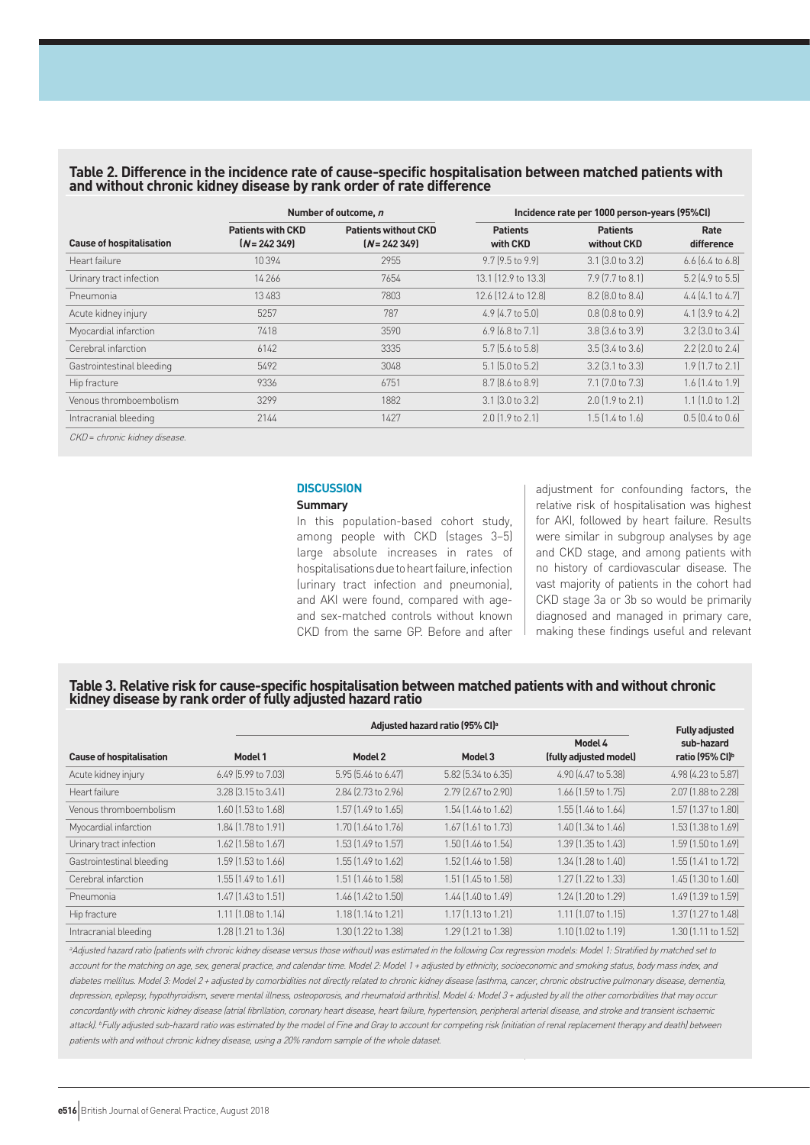# **Table 2. Difference in the incidence rate of cause-specific hospitalisation between matched patients with and without chronic kidney disease by rank order of rate difference**

|                                 |                                            | Number of outcome, n                          | Incidence rate per 1000 person-years (95%CI) |                                |                        |  |
|---------------------------------|--------------------------------------------|-----------------------------------------------|----------------------------------------------|--------------------------------|------------------------|--|
| <b>Cause of hospitalisation</b> | <b>Patients with CKD</b><br>$[N = 242349]$ | <b>Patients without CKD</b><br>$[N = 242349]$ | <b>Patients</b><br>with CKD                  | <b>Patients</b><br>without CKD | Rate<br>difference     |  |
| Heart failure                   | 10394                                      | 2955                                          | $9.7$ (9.5 to 9.9)                           | $3.1$ $(3.0 \text{ to } 3.2)$  | $6.6$ $(6.4$ to $6.8)$ |  |
| Urinary tract infection         | 14 26 6                                    | 7654                                          | 13.1 (12.9 to 13.3)                          | 7.9 (7.7 to 8.1)               | 5.2 (4.9 to 5.5)       |  |
| Pneumonia                       | 13483                                      | 7803                                          | 12.6 (12.4 to 12.8)                          | 8.2 (8.0 to 8.4)               | $4.4$ (4.1 to 4.7)     |  |
| Acute kidney injury             | 5257                                       | 787                                           | $4.9$ (4.7 to 5.0)                           | $0.8$ $[0.8$ to $0.9]$         | $4.1$ (3.9 to 4.2)     |  |
| Myocardial infarction           | 7418                                       | 3590                                          | $6.9$ (6.8 to 7.1)                           | $3.8$ $(3.6 \text{ to } 3.9)$  | $3.2$ (3.0 to $3.4$ )  |  |
| Cerebral infarction             | 6142                                       | 3335                                          | 5.7 (5.6 to 5.8)                             | $3.5$ $(3.4 \text{ to } 3.6)$  | 2.2 (2.0 to 2.4)       |  |
| Gastrointestinal bleeding       | 5492                                       | 3048                                          | 5.1 (5.0 to 5.2)                             | $3.2$ (3.1 to $3.3$ )          | $1.9$ (1.7 to 2.1)     |  |
| Hip fracture                    | 9336                                       | 6751                                          | 8.7 (8.6 to 8.9)                             | 7.1 (7.0 to 7.3)               | 1.6 (1.4 to 1.9)       |  |
| Venous thromboembolism          | 3299                                       | 1882                                          | $3.1$ (3.0 to 3.2)                           | $2.0$ (1.9 to 2.1)             | $1.1$ (1.0 to 1.2)     |  |
| Intracranial bleeding           | 2144                                       | 1427                                          | $2.0$ (1.9 to 2.1)                           | $1.5$ $(1.4$ to $1.6)$         | $0.5$ $[0.4$ to $0.6]$ |  |

CKD = chronic kidney disease

# **DISCUSSION**

## **Summary**

In this population-based cohort study, among people with CKD (stages 3–5) large absolute increases in rates of hospitalisations due to heart failure, infection (urinary tract infection and pneumonia), and AKI were found, compared with ageand sex-matched controls without known CKD from the same GP. Before and after

adjustment for confounding factors, the relative risk of hospitalisation was highest for AKI, followed by heart failure. Results were similar in subgroup analyses by age and CKD stage, and among patients with no history of cardiovascular disease. The vast majority of patients in the cohort had CKD stage 3a or 3b so would be primarily diagnosed and managed in primary care, making these findings useful and relevant

# **Table 3. Relative risk for cause-specific hospitalisation between matched patients with and without chronic kidney disease by rank order of fully adjusted hazard ratio**

|                                 |                           | Adjusted hazard ratio (95% CI) <sup>a</sup> |                     |                                   |                                                                    |  |
|---------------------------------|---------------------------|---------------------------------------------|---------------------|-----------------------------------|--------------------------------------------------------------------|--|
| <b>Cause of hospitalisation</b> | Model 1                   | Model 2                                     | Model 3             | Model 4<br>(fully adjusted model) | <b>Fully adjusted</b><br>sub-hazard<br>ratio (95% CI) <sup>b</sup> |  |
| Acute kidney injury             | 6.49 (5.99 to 7.03)       | 5.95 (5.46 to 6.47)                         | 5.82 (5.34 to 6.35) | 4.90 (4.47 to 5.38)               | 4.98 (4.23 to 5.87)                                                |  |
| Heart failure                   | 3.28 (3.15 to 3.41)       | 2.84 (2.73 to 2.96)                         | 2.79 [2.67 to 2.90] | 1.66 [1.59 to 1.75]               | 2.07 [1.88 to 2.28]                                                |  |
| Venous thromboembolism          | 1.60 (1.53 to 1.68)       | 1.57 [1.49 to 1.65]                         | 1.54 (1.46 to 1.62) | 1.55 (1.46 to 1.64)               | 1.57 [1.37 to 1.80]                                                |  |
| Myocardial infarction           | 1.84 (1.78 to 1.91)       | 1.70 (1.64 to 1.76)                         | 1.67 [1.61 to 1.73] | 1.40 (1.34 to 1.46)               | 1.53 (1.38 to 1.69)                                                |  |
| Urinary tract infection         | 1.62 (1.58 to 1.67)       | 1.53 (1.49 to 1.57)                         | 1.50 (1.46 to 1.54) | 1.39 (1.35 to 1.43)               | 1.59 (1.50 to 1.69)                                                |  |
| Gastrointestinal bleeding       | 1.59 (1.53 to 1.66)       | 1.55 (1.49 to 1.62)                         | 1.52 [1.46 to 1.58] | 1.34 (1.28 to 1.40)               | 1.55 [1.41 to 1.72]                                                |  |
| Cerebral infarction             | 1.55 (1.49 to 1.61)       | 1.51 (1.46 to 1.58)                         | 1.51 (1.45 to 1.58) | 1.27 (1.22 to 1.33)               | 1.45 (1.30 to 1.60)                                                |  |
| Pneumonia                       | 1.47 [1.43 to 1.51]       | 1.46 (1.42 to 1.50)                         | 1.44 (1.40 to 1.49) | 1.24 (1.20 to 1.29)               | 1.49 (1.39 to 1.59)                                                |  |
| Hip fracture                    | $1.11$ $(1.08$ to $1.14)$ | 1.18 (1.14 to 1.21)                         | 1.17 (1.13 to 1.21) | 1.11 (1.07 to 1.15)               | 1.37 [1.27 to 1.48]                                                |  |
| Intracranial bleeding           | 1.28 (1.21 to 1.36)       | 1.30 (1.22 to 1.38)                         | 1.29 (1.21 to 1.38) | 1.10 (1.02 to 1.19)               | 1.30 [1.11 to 1.52]                                                |  |

<sup>a</sup>Adjusted hazard ratio (patients with chronic kidney disease versus those without) was estimated in the following Cox regression models: Model 1: Stratified by matched set to account for the matching on age, sex, general practice, and calendar time. Model 2: Model 1 + adjusted by ethnicity, socioeconomic and smoking status, body mass index, and diabetes mellitus. Model 3: Model 2 + adjusted by comorbidities not directly related to chronic kidney disease (asthma, cancer, chronic obstructive pulmonary disease, dementia, depression, epilepsy, hypothyroidism, severe mental illness, osteoporosis, and rheumatoid arthritis). Model 4: Model 3 + adjusted by all the other comorbidities that may occur concordantly with chronic kidney disease (atrial fibrillation, coronary heart disease, heart failure, hypertension, peripheral arterial disease, and stroke and transient ischaemic attack). <sup>b</sup>Fully adjusted sub-hazard ratio was estimated by the model of Fine and Gray to account for competing risk (initiation of renal replacement therapy and death) between patients with and without chronic kidney disease, using a 20% random sample of the whole dataset.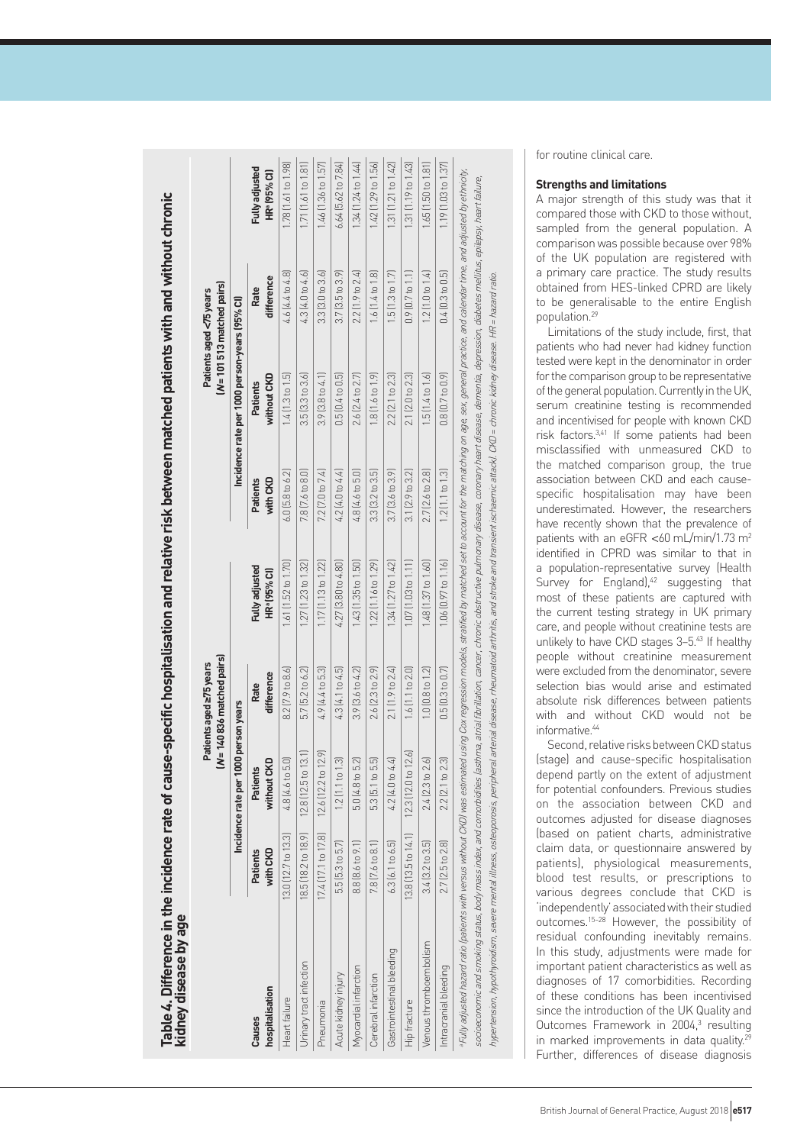| <b>CALLA</b>                                                             |  |
|--------------------------------------------------------------------------|--|
|                                                                          |  |
|                                                                          |  |
|                                                                          |  |
| <b>CONTROL</b>                                                           |  |
|                                                                          |  |
|                                                                          |  |
|                                                                          |  |
|                                                                          |  |
| isk between ma                                                           |  |
| in in                                                                    |  |
|                                                                          |  |
| i<br>E                                                                   |  |
|                                                                          |  |
|                                                                          |  |
|                                                                          |  |
|                                                                          |  |
|                                                                          |  |
|                                                                          |  |
|                                                                          |  |
|                                                                          |  |
|                                                                          |  |
|                                                                          |  |
|                                                                          |  |
|                                                                          |  |
|                                                                          |  |
|                                                                          |  |
|                                                                          |  |
|                                                                          |  |
| Table 4. Difference in the incidence rate of car<br>ם<br>השכ<br>ש<br>פונ |  |
|                                                                          |  |
|                                                                          |  |
|                                                                          |  |
|                                                                          |  |
|                                                                          |  |
|                                                                          |  |

|                                                                                                                                                                                                                                                                                                                                                                                                                                                                                                                                                                                                                                                                                        |                                                    |                                      | [N=140836 matched pairs]<br>Patients aged =75 years |                                       |                             |                                               | $(N = 101513$ matched pairs)<br>Patients aged <75 years |                                              |
|----------------------------------------------------------------------------------------------------------------------------------------------------------------------------------------------------------------------------------------------------------------------------------------------------------------------------------------------------------------------------------------------------------------------------------------------------------------------------------------------------------------------------------------------------------------------------------------------------------------------------------------------------------------------------------------|----------------------------------------------------|--------------------------------------|-----------------------------------------------------|---------------------------------------|-----------------------------|-----------------------------------------------|---------------------------------------------------------|----------------------------------------------|
|                                                                                                                                                                                                                                                                                                                                                                                                                                                                                                                                                                                                                                                                                        |                                                    | Incidence rate per 1000 person years |                                                     |                                       |                             | Incidence rate per 1000 person-years (95% Cl) |                                                         |                                              |
| hospitalisation<br><b>Causes</b>                                                                                                                                                                                                                                                                                                                                                                                                                                                                                                                                                                                                                                                       | with CKD<br>Patients                               | without CKD<br><b>Patients</b>       | difference<br>Rate                                  | <b>Fully adjusted</b><br>HRª (95% Cl) | with CKD<br><b>Patients</b> | without CKD<br>Patients                       | difference<br>Rate                                      | <b>Fully adjusted</b><br><b>HR® (95% Cl)</b> |
| Heart failure                                                                                                                                                                                                                                                                                                                                                                                                                                                                                                                                                                                                                                                                          | 13.0 (12.7 to 13.3)                                | 4.8 (4.6 to 5.0)                     | $8.2$ [7.9 to $8.6$ ]                               | 1.61 [1.52 to 1.70]                   | $6.0$ (5.8 to $6.2$ )       | $1.4$ $(1.3$ to $1.5$                         | 4.6 [4.4 to 4.8]                                        | 1.78 (1.61 to 1.98)                          |
| Urinary tract infection                                                                                                                                                                                                                                                                                                                                                                                                                                                                                                                                                                                                                                                                | 18.5 (18.2 to 18.9)                                | $12.8(12.5 \text{ to } 13.1)$        | 5.7 [5.2 to 6.2]                                    | $1.27$ (1.23 to 1.32)                 | 7.8 [7.6 to 8.0]            | $3.5$ [ $3.3$ to $3.6$ ]                      | $4.3$ $(4.0$ to $4.6)$                                  | $1.71$ $(1.61$ to $1.81)$                    |
| Pneumonia                                                                                                                                                                                                                                                                                                                                                                                                                                                                                                                                                                                                                                                                              | 17.4 (17.1 to 17.8)  12.6 (12.2 to 12.9)           |                                      | 4.9 (4.4 to 5.3)                                    | $1.17$ $(1.13$ to $1.22)$             | 7.2 [7.0 to 7.4]            | 3.9 [3.8 to 4.1]                              | $3.3$ $(3.0$ to $3.6)$                                  | 1.46 [1.36 to 1.57]                          |
| Acute kidney injury                                                                                                                                                                                                                                                                                                                                                                                                                                                                                                                                                                                                                                                                    | 5.5 [5.3 to 5.7]                                   | $1.2$ [1.1 to 1.3]                   | 4.3 [4.1 to 4.5]                                    | $4.27$ $[3.80$ to $4.80]$             | 4.2 (4.0 to 4.4)            | 0.5[0.4 to 0.5]                               | 3.7 [3.5 to 3.9]                                        | 6.64 [5.62 to 7.84]                          |
| Myocardial infarction                                                                                                                                                                                                                                                                                                                                                                                                                                                                                                                                                                                                                                                                  | 8.8 (8.6 to 9.1)                                   | 5.0 (4.8 to 5.2)                     | 3.9 [3.6 to 4.2]                                    | $1.43$ $(1.35$ to $1.50)$             | 4.8 (4.6 to 5.0)            | 2.6 (2.4 to 2.7)                              | 2.2 [1.9 to 2.4]                                        | 1.34 (1.24 to 1.44)                          |
| Cerebral infarction                                                                                                                                                                                                                                                                                                                                                                                                                                                                                                                                                                                                                                                                    | 7.8 [7.6 to 8.1]                                   | 5.3 [5.1 to 5.5]                     | 2.6 [2.3 to 2.9]                                    | $1.22$ $(1.16$ to $1.29)$             | 3.3 [3.2 to 3.5]            | $1.8$ [1.6 to 1.9]                            | $1.6$ [1.4 to 1.8]                                      | $1.42$ [1.29 to $1.56$ ]                     |
| Gastrointestinal bleeding                                                                                                                                                                                                                                                                                                                                                                                                                                                                                                                                                                                                                                                              | $6.3$ $[6.1$ to $6.5]$                             | 4.2 (4.0 to 4.4)                     | 2.1 [1.9 to 2.4]                                    | $1.34$ (1.27 to $1.42$ )              | $3.7[3.6 \text{ to } 3.9]$  | 2.2 [2.1 to 2.3]                              | $1.5$ [ $1.3$ to $1.7$ ]                                | 1.31 (1.21 to 1.42)                          |
| Hip fracture                                                                                                                                                                                                                                                                                                                                                                                                                                                                                                                                                                                                                                                                           | $13.8$ $(13.5$ to $14.1$ $12.3$ $(12.0$ to $12.6)$ |                                      | 1.6[1.1 to 2.0]                                     | $1.07$ $(1.03$ to $1.11)$             | $3.1(2.9 \text{ to } 3.2)$  | 2.1 (2.0 to 2.3)                              | $0.9$ $[0.7$ to $1.1]$                                  | 1.31 [1.19 to 1.43]                          |
| Venous thromboembolism                                                                                                                                                                                                                                                                                                                                                                                                                                                                                                                                                                                                                                                                 | 3.4 [3.2 to 3.5]                                   | 2.4 (2.3 to 2.6)                     | $1.0$ [0.8 to 1.2]                                  | 1.48 (1.37 to 1.60)                   | 2.7 (2.6 to 2.8)            | 1.5 (1.4 to 1.6)                              | 1.2 (1.0 to 1.4)                                        | 1.65 [1.50 to 1.81]                          |
| Intracranial bleeding                                                                                                                                                                                                                                                                                                                                                                                                                                                                                                                                                                                                                                                                  | 2.7 (2.5 to 2.8)                                   | 2.2 (2.1 to 2.3)                     | 0.5[0.3 to 0.7]                                     | $1.06$ $(0.97$ to $1.16)$             | $1.2$ [1.1 to $1.3$ ]       | $0.8$ $[0.7$ to $0.9]$                        | 0.4 [0.3 to 0.5]                                        | 1.19 [1.03 to 1.37]                          |
| •Fully adjusted hazard ration's with versus without CKD) was estimated using Cox regression models, straitied by matched set to account for the matching on age, sex, general practice, and calendar time, and adjusted by eth<br>socioeconomic and smoking status, body mass index, and comorbidities (astima, a tiral libration, cancer, chronic obstructive pulmonary disease, coronary heard disease, dementia, depression, diabetes mellitus, epilepsy, hea<br>hypertension, hypothyroidism, severe mental illness, osteoporosis, peripheral arterial disease, rheumatoid arthritis, and stroke and transient ischaemic attackl. CKD = chronic kidney disease. HR = hazard ratio. |                                                    |                                      |                                                     |                                       |                             |                                               |                                                         |                                              |
|                                                                                                                                                                                                                                                                                                                                                                                                                                                                                                                                                                                                                                                                                        |                                                    |                                      |                                                     |                                       |                             |                                               |                                                         |                                              |

for routine clinical care.

#### **Strengths and limitations**

A major strength of this study was that it compared those with CKD to those without, sampled from the general population. A comparison was possible because over 98% of the UK population are registered with a primary care practice. The study results obtained from HES-linked CPRD are likely to be generalisable to the entire English population.29

Limitations of the study include, first, that patients who had never had kidney function tested were kept in the denominator in order for the comparison group to be representative of the general population. Currently in the UK, serum creatinine testing is recommended and incentivised for people with known CKD risk factors.3,41 If some patients had been misclassified with unmeasured CKD to the matched comparison group, the true association between CKD and each causespecific hospitalisation may have been underestimated. However, the researchers have recently shown that the prevalence of patients with an eGFR <60 mL/min/1.73 m<sup>2</sup> identified in CPRD was similar to that in a population-representative survey (Health Survey for England),<sup>42</sup> suggesting that most of these patients are captured with the current testing strategy in UK primary care, and people without creatinine tests are unlikely to have CKD stages 3-5.<sup>43</sup> If healthy people without creatinine measurement were excluded from the denominator, severe selection bias would arise and estimated absolute risk differences between patients with and without CKD would not be informative<sup>44</sup>

Second, relative risks between CKD status (stage) and cause-specific hospitalisation depend partly on the extent of adjustment for potential confounders. Previous studies on the association between CKD and outcomes adjusted for disease diagnoses (based on patient charts, administrative claim data, or questionnaire answered by patients), physiological measurements, blood test results, or prescriptions to various degrees conclude that CKD is 'independently' associated with their studied outcomes.15–28 However, the possibility of residual confounding inevitably remains. In this study, adjustments were made for important patient characteristics as well as diagnoses of 17 comorbidities. Recording of these conditions has been incentivised since the introduction of the UK Quality and Outcomes Framework in 2004, 3 resulting in marked improvements in data quality.<sup>29</sup> Further, differences of disease diagnosis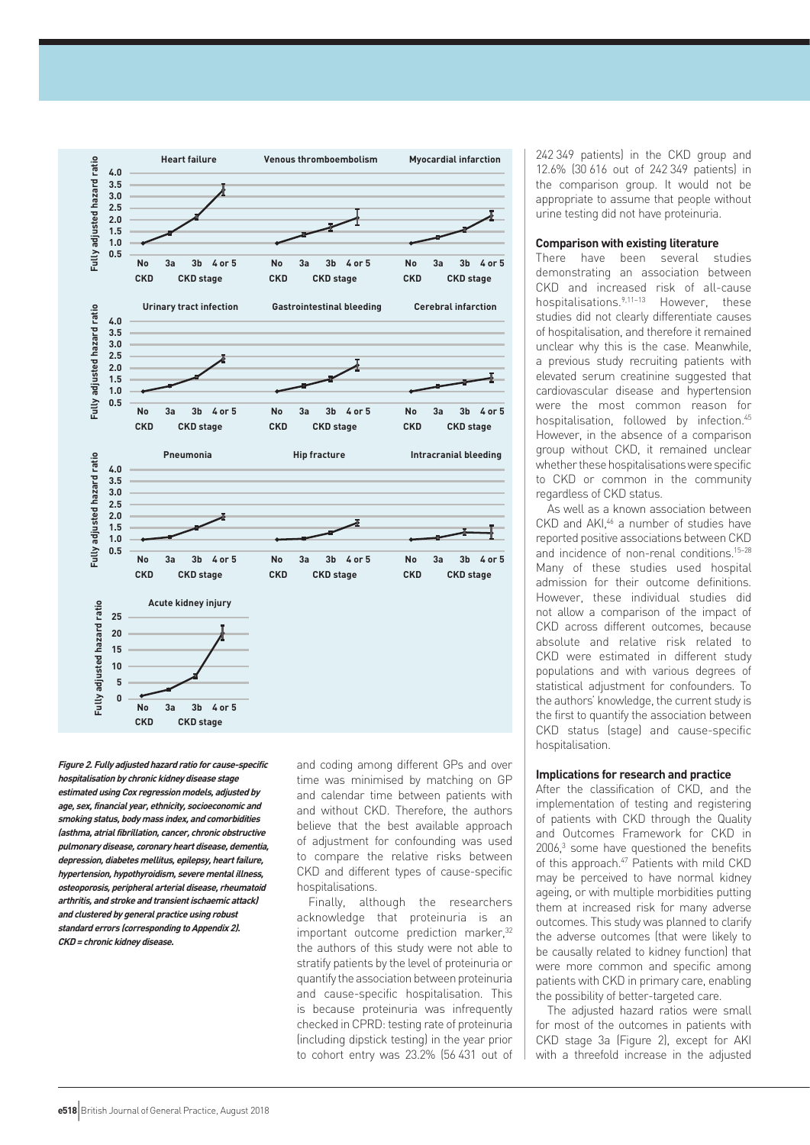

**Figure 2. Fully adjusted hazard ratio for cause-specific hospitalisation by chronic kidney disease stage estimated using Cox regression models, adjusted by age, sex, financial year, ethnicity, socioeconomic and smoking status, body mass index, and comorbidities (asthma, atrial fibrillation, cancer, chronic obstructive pulmonary disease, coronary heart disease, dementia, depression, diabetes mellitus, epilepsy, heart failure, hypertension, hypothyroidism, severe mental illness, osteoporosis, peripheral arterial disease, rheumatoid arthritis, and stroke and transient ischaemic attack) and clustered by general practice using robust standard errors (corresponding to Appendix 2). CKD = chronic kidney disease.**

and coding among different GPs and over time was minimised by matching on GP and calendar time between patients with and without CKD. Therefore, the authors believe that the best available approach of adjustment for confounding was used to compare the relative risks between CKD and different types of cause-specific hospitalisations.

Finally, although the researchers acknowledge that proteinuria is an important outcome prediction marker,<sup>32</sup> the authors of this study were not able to stratify patients by the level of proteinuria or quantify the association between proteinuria and cause-specific hospitalisation. This is because proteinuria was infrequently checked in CPRD: testing rate of proteinuria (including dipstick testing) in the year prior to cohort entry was 23.2% (56 431 out of 242 349 patients) in the CKD group and 12.6% (30 616 out of 242 349 patients) in the comparison group. It would not be appropriate to assume that people without urine testing did not have proteinuria.

## **Comparison with existing literature**

There have been several studies demonstrating an association between CKD and increased risk of all-cause hospitalisations.<sup>9,11-13</sup> However, these studies did not clearly differentiate causes of hospitalisation, and therefore it remained unclear why this is the case. Meanwhile, a previous study recruiting patients with elevated serum creatinine suggested that cardiovascular disease and hypertension were the most common reason for hospitalisation, followed by infection.<sup>45</sup> However, in the absence of a comparison group without CKD, it remained unclear whether these hospitalisations were specific to CKD or common in the community regardless of CKD status.

As well as a known association between CKD and AKI,46 a number of studies have reported positive associations between CKD and incidence of non-renal conditions.15–28 Many of these studies used hospital admission for their outcome definitions. However, these individual studies did not allow a comparison of the impact of CKD across different outcomes, because absolute and relative risk related to CKD were estimated in different study populations and with various degrees of statistical adjustment for confounders. To the authors' knowledge, the current study is the first to quantify the association between CKD status (stage) and cause-specific hospitalisation.

# **Implications for research and practice**

After the classification of CKD, and the implementation of testing and registering of patients with CKD through the Quality and Outcomes Framework for CKD in  $2006$ ,<sup>3</sup> some have questioned the benefits of this approach.<sup>47</sup> Patients with mild CKD may be perceived to have normal kidney ageing, or with multiple morbidities putting them at increased risk for many adverse outcomes. This study was planned to clarify the adverse outcomes (that were likely to be causally related to kidney function) that were more common and specific among patients with CKD in primary care, enabling the possibility of better-targeted care.

The adjusted hazard ratios were small for most of the outcomes in patients with CKD stage 3a (Figure 2), except for AKI with a threefold increase in the adjusted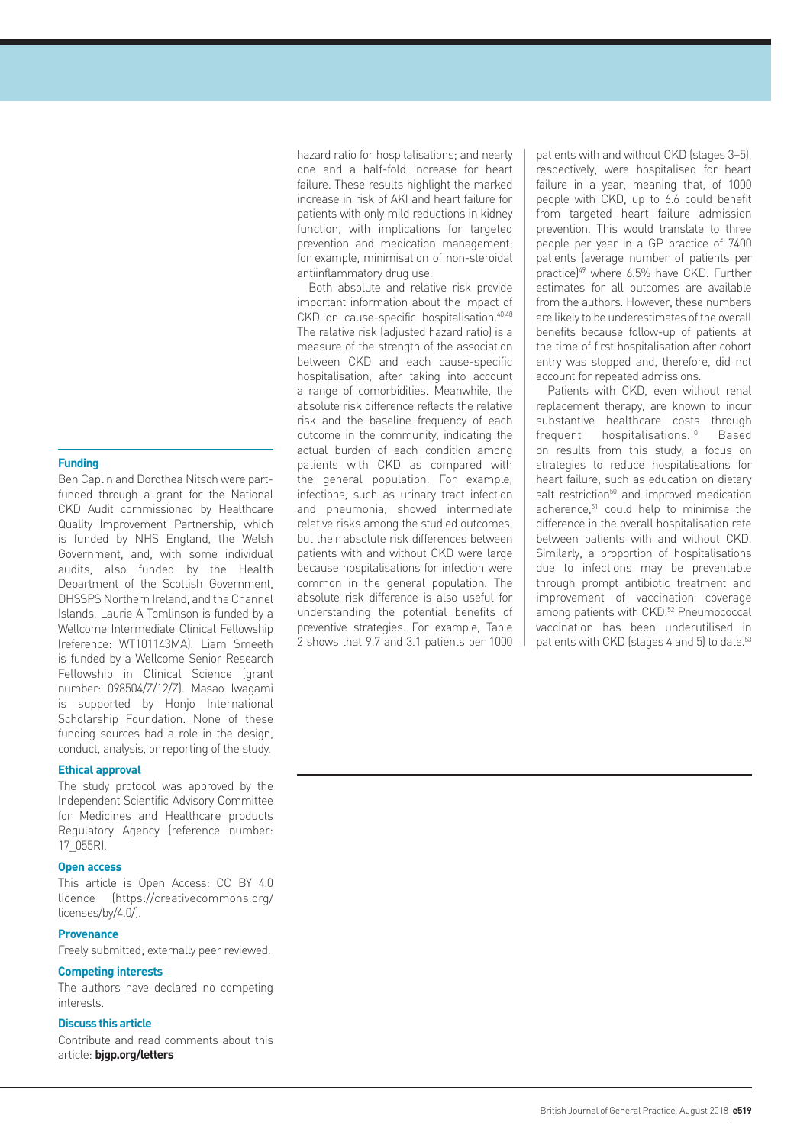#### **Funding**

Ben Caplin and Dorothea Nitsch were partfunded through a grant for the National CKD Audit commissioned by Healthcare Quality Improvement Partnership, which is funded by NHS England, the Welsh Government, and, with some individual audits, also funded by the Health Department of the Scottish Government, DHSSPS Northern Ireland, and the Channel Islands. Laurie A Tomlinson is funded by a Wellcome Intermediate Clinical Fellowship (reference: WT101143MA). Liam Smeeth is funded by a Wellcome Senior Research Fellowship in Clinical Science (grant number: 098504/Z/12/Z). Masao Iwagami is supported by Honjo International Scholarship Foundation. None of these funding sources had a role in the design, conduct, analysis, or reporting of the study.

# **Ethical approval**

The study protocol was approved by the Independent Scientific Advisory Committee for Medicines and Healthcare products Regulatory Agency (reference number: 17\_055R).

# **Open access**

This article is Open Access: CC BY 4.0 licence (https://creativecommons.org/ licenses/by/4.0/).

# **Provenance**

Freely submitted; externally peer reviewed.

# **Competing interests**

The authors have declared no competing interests.

# **Discuss this article**

Contribute and read comments about this article: **bjgp.org/letters**

hazard ratio for hospitalisations; and nearly one and a half-fold increase for heart failure. These results highlight the marked increase in risk of AKI and heart failure for patients with only mild reductions in kidney function, with implications for targeted prevention and medication management; for example, minimisation of non-steroidal antiinflammatory drug use.

Both absolute and relative risk provide important information about the impact of CKD on cause-specific hospitalisation.<sup>40,48</sup> The relative risk (adjusted hazard ratio) is a measure of the strength of the association between CKD and each cause-specific hospitalisation, after taking into account a range of comorbidities. Meanwhile, the absolute risk difference reflects the relative risk and the baseline frequency of each outcome in the community, indicating the actual burden of each condition among patients with CKD as compared with the general population. For example, infections, such as urinary tract infection and pneumonia, showed intermediate relative risks among the studied outcomes, but their absolute risk differences between patients with and without CKD were large because hospitalisations for infection were common in the general population. The absolute risk difference is also useful for understanding the potential benefits of preventive strategies. For example, Table 2 shows that 9.7 and 3.1 patients per 1000

patients with and without CKD (stages 3–5), respectively, were hospitalised for heart failure in a year, meaning that, of 1000 people with CKD, up to 6.6 could benefit from targeted heart failure admission prevention. This would translate to three people per year in a GP practice of 7400 patients (average number of patients per practice)<sup>49</sup> where 6.5% have CKD. Further estimates for all outcomes are available from the authors. However, these numbers are likely to be underestimates of the overall benefits because follow-up of patients at the time of first hospitalisation after cohort entry was stopped and, therefore, did not account for repeated admissions.

Patients with CKD, even without renal replacement therapy, are known to incur substantive healthcare costs through frequent hospitalisations.<sup>10</sup> Based on results from this study, a focus on strategies to reduce hospitalisations for heart failure, such as education on dietary salt restriction<sup>50</sup> and improved medication adherence.<sup>51</sup> could help to minimise the difference in the overall hospitalisation rate between patients with and without CKD. Similarly, a proportion of hospitalisations due to infections may be preventable through prompt antibiotic treatment and improvement of vaccination coverage among patients with CKD.<sup>52</sup> Pneumococcal vaccination has been underutilised in patients with CKD (stages 4 and 5) to date.<sup>53</sup>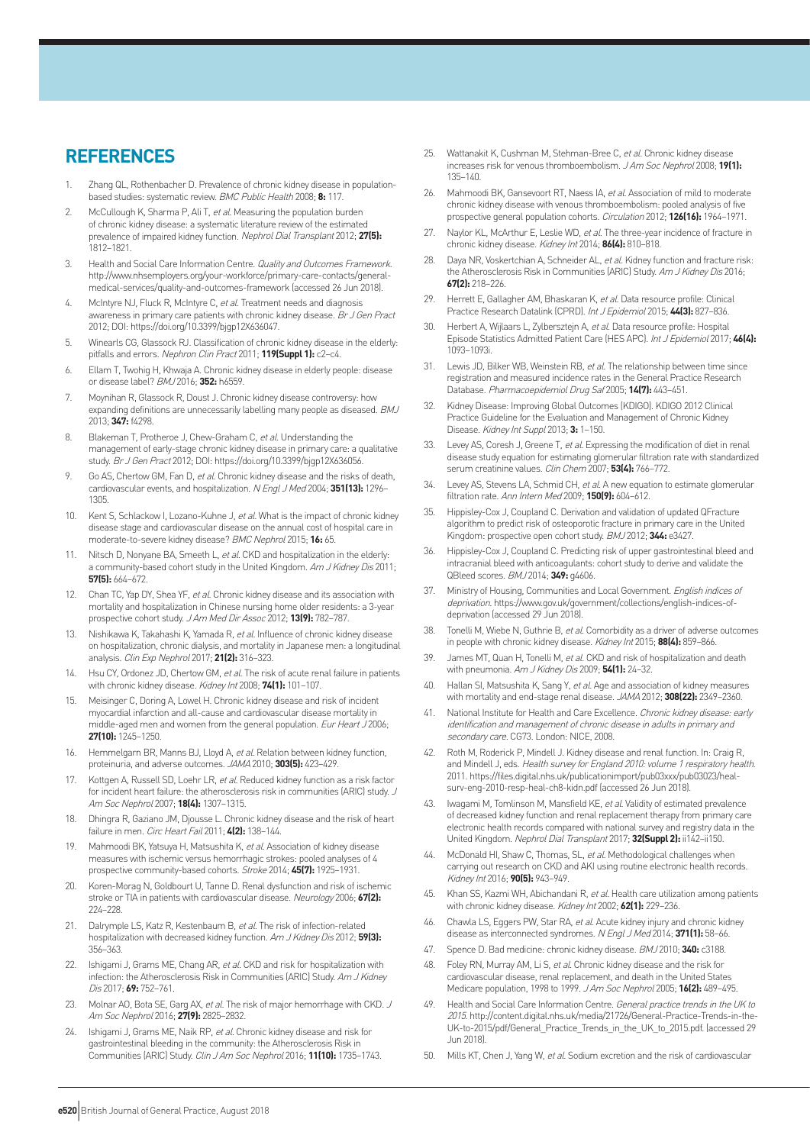# **REFERENCES**

- 1. Zhang QL, Rothenbacher D. Prevalence of chronic kidney disease in populationbased studies: systematic review. BMC Public Health 2008; **8:** 117.
- 2. McCullough K, Sharma P, Ali T, et al. Measuring the population burden of chronic kidney disease: a systematic literature review of the estimated prevalence of impaired kidney function. Nephrol Dial Transplant 2012; **27(5):** 1812–1821.
- 3. Health and Social Care Information Centre. Quality and Outcomes Framework. http://www.nhsemployers.org/your-workforce/primary-care-contacts/generalmedical-services/quality-and-outcomes-framework (accessed 26 Jun 2018).
- McIntyre NJ, Fluck R, McIntyre C, et al. Treatment needs and diagnosis awareness in primary care patients with chronic kidney disease. Br J Gen Pract 2012; DOI: https://doi.org/10.3399/bjgp12X636047.
- 5. Winearls CG, Glassock RJ. Classification of chronic kidney disease in the elderly: pitfalls and errors. Nephron Clin Pract 2011; **119(Suppl 1):** c2–c4.
- 6. Ellam T, Twohig H, Khwaja A. Chronic kidney disease in elderly people: disease or disease label? BMJ 2016; **352:** h6559.
- 7. Moynihan R, Glassock R, Doust J. Chronic kidney disease controversy: how expanding definitions are unnecessarily labelling many people as diseased. BMJ 2013; **347:** f4298.
- 8. Blakeman T, Protheroe J, Chew-Graham C, et al. Understanding the management of early-stage chronic kidney disease in primary care: a qualitative study. Br J Gen Pract 2012; DOI: https://doi.org/10.3399/bjgp12X636056.
- Go AS, Chertow GM, Fan D, et al. Chronic kidney disease and the risks of death, cardiovascular events, and hospitalization. N Engl J Med 2004; **351(13):** 1296– 1305.
- 10. Kent S, Schlackow I, Lozano-Kuhne J, et al. What is the impact of chronic kidney disease stage and cardiovascular disease on the annual cost of hospital care in moderate-to-severe kidney disease? BMC Nephrol 2015; **16:** 65.
- Nitsch D, Nonyane BA, Smeeth L, et al. CKD and hospitalization in the elderly: a community-based cohort study in the United Kingdom. Am J Kidney Dis 2011; **57(5):** 664–672.
- 12. Chan TC, Yap DY, Shea YF, et al. Chronic kidney disease and its association with mortality and hospitalization in Chinese nursing home older residents: a 3-year prospective cohort study. J Am Med Dir Assoc 2012; **13(9):** 782–787.
- 13. Nishikawa K, Takahashi K, Yamada R, et al. Influence of chronic kidney disease on hospitalization, chronic dialysis, and mortality in Japanese men: a longitudinal analysis. Clin Exp Nephrol 2017; **21(2):** 316–323.
- 14. Hsu CY, Ordonez JD, Chertow GM, et al. The risk of acute renal failure in patients with chronic kidney disease. Kidney Int 2008; **74(1):** 101–107.
- 15. Meisinger C, Doring A, Lowel H. Chronic kidney disease and risk of incident myocardial infarction and all-cause and cardiovascular disease mortality in middle-aged men and women from the general population. Eur Heart J 2006; **27(10):** 1245–1250.
- 16. Hemmelgarn BR, Manns BJ, Lloyd A, et al. Relation between kidney function, proteinuria, and adverse outcomes. JAMA 2010; **303(5):** 423–429.
- 17. Kottgen A, Russell SD, Loehr LR, et al. Reduced kidney function as a risk factor for incident heart failure: the atherosclerosis risk in communities (ARIC) study. J Am Soc Nephrol 2007; **18(4):** 1307–1315.
- 18. Dhingra R, Gaziano JM, Djousse L. Chronic kidney disease and the risk of heart failure in men. Circ Heart Fail 2011; **4(2):** 138–144.
- Mahmoodi BK, Yatsuya H, Matsushita K, et al. Association of kidney disease measures with ischemic versus hemorrhagic strokes: pooled analyses of 4 prospective community-based cohorts. Stroke 2014; **45(7):** 1925–1931.
- 20. Koren-Morag N, Goldbourt U, Tanne D. Renal dysfunction and risk of ischemic stroke or TIA in patients with cardiovascular disease. Neurology 2006; **67(2):**  224–228.
- 21. Dalrymple LS, Katz R, Kestenbaum B, et al. The risk of infection-related hospitalization with decreased kidney function. Am J Kidney Dis 2012; **59(3):**  356–363.
- 22. Ishigami J, Grams ME, Chang AR, et al. CKD and risk for hospitalization with infection: the Atherosclerosis Risk in Communities (ARIC) Study. Am J Kidney Dis 2017; **69:** 752–761.
- 23. Molnar AO, Bota SE, Garg AX, et al. The risk of major hemorrhage with CKD. J Am Soc Nephrol 2016; **27(9):** 2825–2832.
- 24. Ishigami J, Grams ME, Naik RP, et al. Chronic kidney disease and risk for gastrointestinal bleeding in the community: the Atherosclerosis Risk in Communities (ARIC) Study. Clin J Am Soc Nephrol 2016; **11(10):** 1735–1743.
- 25. Wattanakit K, Cushman M, Stehman-Bree C, et al. Chronic kidney disease increases risk for venous thromboembolism. J Am Soc Nephrol 2008; **19(1):**  135–140.
- 26. Mahmoodi BK, Gansevoort RT, Naess IA, et al. Association of mild to moderate chronic kidney disease with venous thromboembolism: pooled analysis of five prospective general population cohorts. Circulation 2012; **126(16):** 1964–1971.
- 27. Naylor KL, McArthur E, Leslie WD, et al. The three-year incidence of fracture in chronic kidney disease. Kidney Int 2014; **86(4):** 810–818.
- 28. Daya NR, Voskertchian A, Schneider AL, et al. Kidney function and fracture risk: the Atherosclerosis Risk in Communities (ARIC) Study. Am J Kidney Dis 2016; **67(2):** 218–226.
- 29. Herrett E, Gallagher AM, Bhaskaran K, et al. Data resource profile: Clinical Practice Research Datalink (CPRD). Int J Epidemiol 2015; **44(3):** 827–836.
- 30. Herbert A, Wijlaars L, Zylbersztejn A, et al. Data resource profile: Hospital Episode Statistics Admitted Patient Care (HES APC). Int J Epidemiol 2017; **46(4):**  1093–1093i.
- 31. Lewis JD, Bilker WB, Weinstein RB, et al. The relationship between time since registration and measured incidence rates in the General Practice Research Database. Pharmacoepidemiol Drug Saf 2005; **14(7):** 443–451.
- 32. Kidney Disease: Improving Global Outcomes (KDIGO). KDIGO 2012 Clinical Practice Guideline for the Evaluation and Management of Chronic Kidney Disease. Kidney Int Suppl 2013; **3:** 1–150.
- 33. Levey AS, Coresh J, Greene T, et al. Expressing the modification of diet in renal disease study equation for estimating glomerular filtration rate with standardized serum creatinine values. Clin Chem 2007; **53(4):** 766–772.
- 34. Levey AS, Stevens LA, Schmid CH, et al. A new equation to estimate glomerular filtration rate. Ann Intern Med 2009; **150(9):** 604–612.
- 35. Hippisley-Cox J, Coupland C. Derivation and validation of updated QFracture algorithm to predict risk of osteoporotic fracture in primary care in the United Kingdom: prospective open cohort study. BMJ 2012; **344:** e3427.
- 36. Hippisley-Cox J, Coupland C. Predicting risk of upper gastrointestinal bleed and intracranial bleed with anticoagulants: cohort study to derive and validate the QBleed scores. BMJ 2014; **349:** g4606.
- Ministry of Housing, Communities and Local Government. English indices of deprivation. https://www.gov.uk/government/collections/english-indices-ofdeprivation (accessed 29 Jun 2018).
- 38. Tonelli M, Wiebe N, Guthrie B, et al. Comorbidity as a driver of adverse outcomes in people with chronic kidney disease. Kidney Int 2015; **88(4):** 859–866.
- 39. James MT, Quan H, Tonelli M, et al. CKD and risk of hospitalization and death with pneumonia. Am J Kidney Dis 2009; **54(1):** 24–32.
- 40. Hallan SI, Matsushita K, Sang Y, et al. Age and association of kidney measures with mortality and end-stage renal disease. JAMA 2012; **308(22):** 2349–2360.
- National Institute for Health and Care Excellence. Chronic kidney disease: early identification and management of chronic disease in adults in primary and secondary care. CG73. London: NICE, 2008.
- 42. Roth M, Roderick P, Mindell J. Kidney disease and renal function. In: Craig R, and Mindell J, eds. Health survey for England 2010: volume 1 respiratory health. 2011. https://files.digital.nhs.uk/publicationimport/pub03xxx/pub03023/healsurv-eng-2010-resp-heal-ch8-kidn.pdf (accessed 26 Jun 2018).
- 43. Iwagami M, Tomlinson M, Mansfield KE, et al. Validity of estimated prevalence of decreased kidney function and renal replacement therapy from primary care electronic health records compared with national survey and registry data in the United Kingdom. Nephrol Dial Transplant 2017; **32(Suppl 2):** ii142–ii150.
- 44. McDonald HI, Shaw C, Thomas, SL, et al. Methodological challenges when carrying out research on CKD and AKI using routine electronic health records. Kidney Int 2016; **90(5):** 943–949.
- 45. Khan SS, Kazmi WH, Abichandani R, et al. Health care utilization among patients with chronic kidney disease. Kidney Int 2002; **62(1):** 229–236.
- 46. Chawla LS, Eggers PW, Star RA, et al. Acute kidney injury and chronic kidney disease as interconnected syndromes. N Engl J Med 2014; **371(1):** 58–66.
- 47. Spence D. Bad medicine: chronic kidney disease. BMJ 2010; **340:** c3188.
- Foley RN, Murray AM, Li S, et al. Chronic kidney disease and the risk for cardiovascular disease, renal replacement, and death in the United States Medicare population, 1998 to 1999. J Am Soc Nephrol 2005; **16(2):** 489–495.
- Health and Social Care Information Centre. General practice trends in the UK to 2015. http://content.digital.nhs.uk/media/21726/General-Practice-Trends-in-the-UK-to-2015/pdf/General\_Practice\_Trends\_in\_the\_UK\_to\_2015.pdf. (accessed 29 Jun 2018).
- 50. Mills KT, Chen J, Yang W, et al. Sodium excretion and the risk of cardiovascular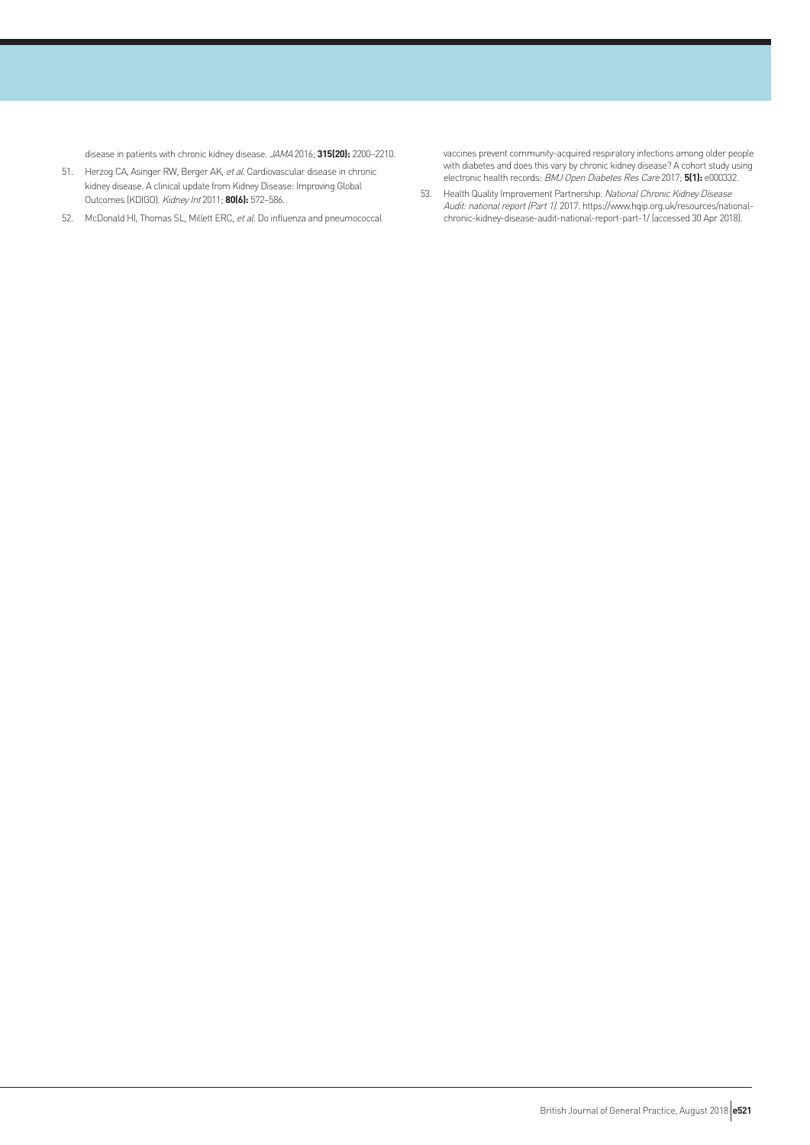disease in patients with chronic kidney disease. JAMA 2016; **315(20):** 2200–2210.

- 51. Herzog CA, Asinger RW, Berger AK, et al. Cardiovascular disease in chronic kidney disease. A clinical update from Kidney Disease: Improving Global Outcomes (KDIGO). Kidney Int 2011; **80(6):** 572–586.
- 52. McDonald HI, Thomas SL, Millett ERC, et al. Do influenza and pneumococcal

vaccines prevent community-acquired respiratory infections among older people with diabetes and does this vary by chronic kidney disease? A cohort study using electronic health records: BMJ Open Diabetes Res Care 2017; **5(1):** e000332.

53. Health Quality Improvement Partnership. National Chronic Kidney Disease Audit: national report (Part 1). 2017. https://www.hqip.org.uk/resources/nationalchronic-kidney-disease-audit-national-report-part-1/ (accessed 30 Apr 2018).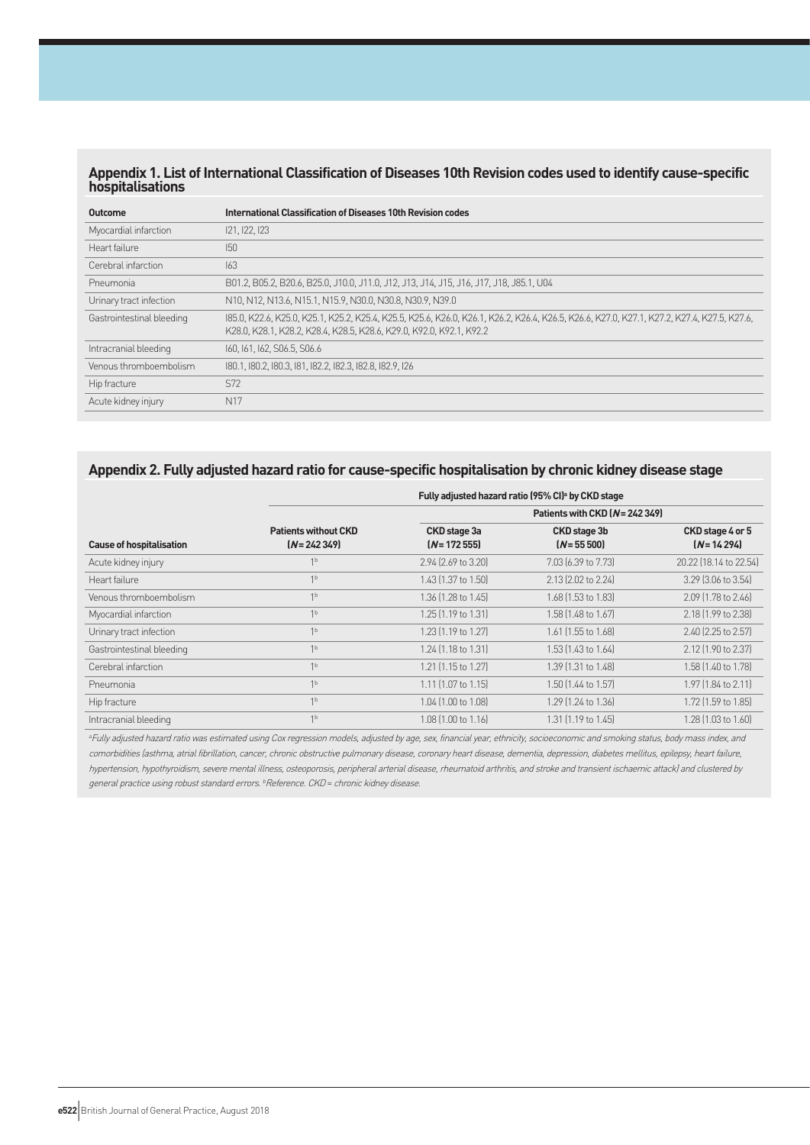# **Appendix 1. List of International Classification of Diseases 10th Revision codes used to identify cause-specific hospitalisations**

| Outcome                   | International Classification of Diseases 10th Revision codes                                                                                                                                                        |
|---------------------------|---------------------------------------------------------------------------------------------------------------------------------------------------------------------------------------------------------------------|
| Myocardial infarction     | 121, 122, 123                                                                                                                                                                                                       |
| Heart failure             | 150                                                                                                                                                                                                                 |
| Cerebral infarction       | 163                                                                                                                                                                                                                 |
| Pneumonia                 | B01.2, B05.2, B20.6, B25.0, J10.0, J11.0, J12, J13, J14, J15, J16, J17, J18, J85.1, U04                                                                                                                             |
| Urinary tract infection   | N10, N12, N13.6, N15.1, N15.9, N30.0, N30.8, N30.9, N39.0                                                                                                                                                           |
| Gastrointestinal bleeding | 185.0, K22.6, K25.0, K25.1, K25.2, K25.4, K25.5, K25.6, K26.0, K26.1, K26.2, K26.4, K26.5, K26.6, K27.0, K27.1, K27.2, K27.4, K27.5, K27.6,<br>K28.0, K28.1, K28.2, K28.4, K28.5, K28.6, K29.0, K92.0, K92.1, K92.2 |
| Intracranial bleeding     | 160, 161, 162, S06.5, S06.6                                                                                                                                                                                         |
| Venous thromboembolism    | 180.1, 180.2, 180.3, 181, 182.2, 182.3, 182.8, 182.9, 126                                                                                                                                                           |
| Hip fracture              | S72                                                                                                                                                                                                                 |
| Acute kidney injury       | N <sub>17</sub>                                                                                                                                                                                                     |

# **Appendix 2. Fully adjusted hazard ratio for cause-specific hospitalisation by chronic kidney disease stage**

|                                 |                                               |                                 | Fully adjusted hazard ratio (95% CI) <sup>a</sup> by CKD stage |                                   |  |  |
|---------------------------------|-----------------------------------------------|---------------------------------|----------------------------------------------------------------|-----------------------------------|--|--|
| <b>Cause of hospitalisation</b> |                                               | Patients with CKD (N = 242 349) |                                                                |                                   |  |  |
|                                 | <b>Patients without CKD</b><br>$[N = 242349]$ | CKD stage 3a<br>$(N = 17255)$   | CKD stage 3b<br>$(N = 55 500)$                                 | CKD stage 4 or 5<br>$(N = 14294)$ |  |  |
| Acute kidney injury             | 1 <sup>b</sup>                                | 2.94 (2.69 to 3.20)             | 7.03 (6.39 to 7.73)                                            | 20.22 (18.14 to 22.54)            |  |  |
| Heart failure                   | 1 <sup>b</sup>                                | 1.43 (1.37 to 1.50)             | 2.13 (2.02 to 2.24)                                            | 3.29 (3.06 to 3.54)               |  |  |
| Venous thromboembolism          | 1 <sup>b</sup>                                | 1.36 [1.28 to 1.45]             | 1.68 (1.53 to 1.83)                                            | 2.09 [1.78 to 2.46]               |  |  |
| Myocardial infarction           | 1 <sup>b</sup>                                | 1.25 (1.19 to 1.31)             | 1.58 (1.48 to 1.67)                                            | 2.18 (1.99 to 2.38)               |  |  |
| Urinary tract infection         | 1 <sup>b</sup>                                | 1.23 (1.19 to 1.27)             | 1.61 (1.55 to 1.68)                                            | 2.40 (2.25 to 2.57)               |  |  |
| Gastrointestinal bleeding       | 1 <sup>b</sup>                                | 1.24 (1.18 to 1.31)             | 1.53 (1.43 to 1.64)                                            | 2.12 (1.90 to 2.37)               |  |  |
| Cerebral infarction             | 1 <sup>b</sup>                                | 1.21 (1.15 to 1.27)             | 1.39 [1.31 to 1.48]                                            | 1.58 (1.40 to 1.78)               |  |  |
| Pneumonia                       | 1 <sup>b</sup>                                | 1.11 (1.07 to 1.15)             | 1.50 (1.44 to 1.57)                                            | 1.97 (1.84 to 2.11)               |  |  |
| Hip fracture                    | 1 <sup>b</sup>                                | 1.04 (1.00 to 1.08)             | 1.29 (1.24 to 1.36)                                            | 1.72 (1.59 to 1.85)               |  |  |
| Intracranial bleeding           | 1 <sub>b</sub>                                | 1.08 (1.00 to 1.16)             | 1.31 (1.19 to 1.45)                                            | 1.28 (1.03 to 1.60)               |  |  |

<sup>a</sup>Fully adjusted hazard ratio was estimated using Cox regression models, adjusted by age, sex, financial year, ethnicity, socioeconomic and smoking status, body mass index, and comorbidities (asthma, atrial fibrillation, cancer, chronic obstructive pulmonary disease, coronary heart disease, dementia, depression, diabetes mellitus, epilepsy, heart failure, hypertension, hypothyroidism, severe mental illness, osteoporosis, peripheral arterial disease, rheumatoid arthritis, and stroke and transient ischaemic attack) and clustered by general practice using robust standard errors. *PReference. CKD* = chronic kidney disease.